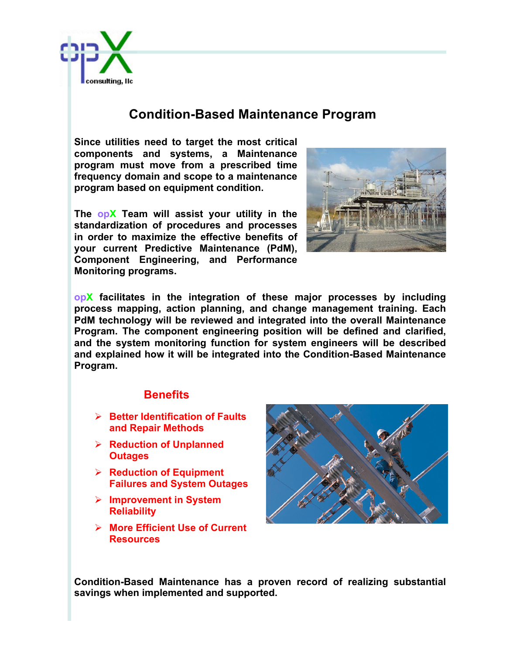

## **Condition-Based Maintenance Program**

**Since utilities need to target the most critical components and systems, a Maintenance program must move from a prescribed time frequency domain and scope to a maintenance program based on equipment condition.** 

**The opX Team will assist your utility in the standardization of procedures and processes in order to maximize the effective benefits of your current Predictive Maintenance (PdM), Component Engineering, and Performance Monitoring programs.**



**opX facilitates in the integration of these major processes by including process mapping, action planning, and change management training. Each PdM technology will be reviewed and integrated into the overall Maintenance Program. The component engineering position will be defined and clarified, and the system monitoring function for system engineers will be described and explained how it will be integrated into the Condition-Based Maintenance Program.**

## **Benefits**

- Ø **Better Identification of Faults and Repair Methods**
- Ø **Reduction of Unplanned Outages**
- Ø **Reduction of Equipment Failures and System Outages**
- Ø **Improvement in System Reliability**
- Ø **More Efficient Use of Current Resources**



**Condition-Based Maintenance has a proven record of realizing substantial savings when implemented and supported.**